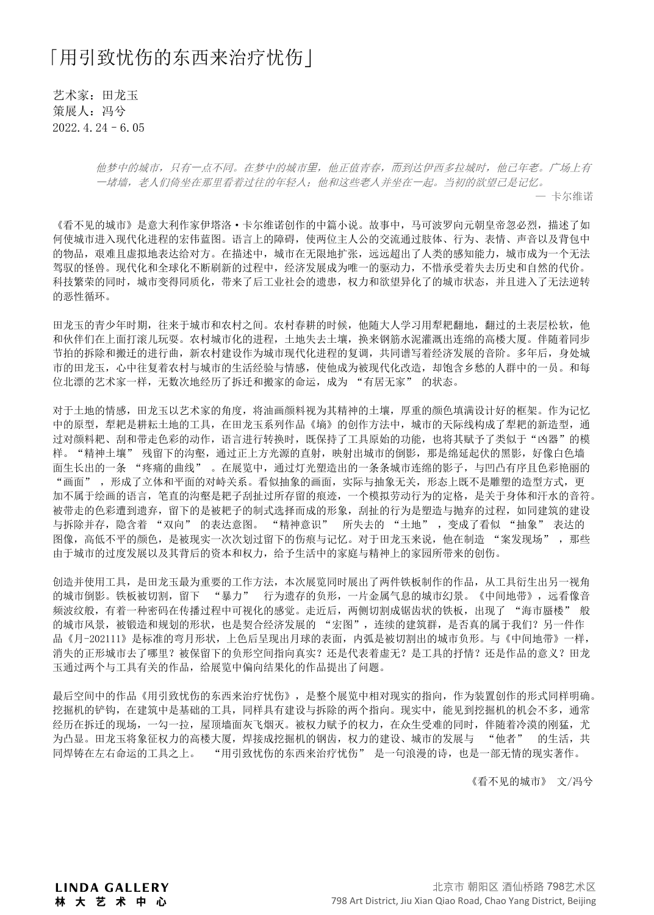## 「用引致忧伤的东西来治疗忧伤」

艺术家:田龙玉 策展人:冯兮 2022.4.24–6.05

> 他梦中的城市,只有一点不同。在梦中的城市里,他正值青春,而到达伊西多拉城时,他已年老。广场上有 一堵墙,老人们倚坐在那里看着过往的年轻人;他和这些老人并坐在一起。当初的欲望已是记忆。

> > — 卡尔维诺

《看不见的城市》是意大利作家伊塔洛·卡尔维诺创作的中篇小说。故事中,马可波罗向元朝皇帝忽必烈,描述了如 何使城市进入现代化进程的宏伟蓝图。语言上的障碍,使两位主人公的交流通过肢体、行为、表情、声音以及背包中 的物品,艰难且虚拟地表达给对方。在描述中,城市在无限地扩张,远远超出了人类的感知能力,城市成为一个无法 驾驭的怪兽。现代化和全球化不断刷新的过程中,经济发展成为唯一的驱动力,不惜承受着失去历史和自然的代价。 科技繁荣的同时,城市变得同质化,带来了后工业社会的遗患,权力和欲望异化了的城市状态,并且进入了无法逆转 的恶性循环。

田龙玉的青少年时期,往来于城市和农村之间。农村春耕的时候,他随大人学习用犁耙翻地,翻过的土表层松软,他 和伙伴们在上面打滚儿玩耍。农村城市化的进程,土地失去土壤,换来钢筋水泥灌溉出连绵的高楼大厦。伴随着同步 节拍的拆除和搬迁的进行曲,新农村建设作为城市现代化进程的复调,共同谱写着经济发展的音阶。多年后,身处城 市的田龙玉,心中往复着农村与城市的生活经验与情感,使他成为被现代化改造,却饱含乡愁的人群中的一员。和每 位北漂的艺术家一样,无数次地经历了拆迁和搬家的命运,成为 "有居无家" 的状态。

对于土地的情感,田龙玉以艺术家的角度,将油画颜料视为其精神的土壤,厚重的颜色填满设计好的框架。作为记忆 中的原型,犁耙是耕耘土地的工具,在田龙玉系列作品《墒》的创作方法中,城市的天际线构成了犁耙的新造型,通 过对颜料耙、刮和带走色彩的动作,语言进行转换时,既保持了工具原始的功能,也将其赋予了类似于"凶器"的模 样。"精神土壤" 残留下的沟壑,通过正上方光源的直射,映射出城市的倒影,那是绵延起伏的黑影,好像白色墙 面生长出的一条 "疼痛的曲线" 。在展览中,通过灯光塑造出的一条条城市连绵的影子,与凹凸有序且色彩艳丽的 "画面" ,形成了立体和平面的对峙关系。看似抽象的画面,实际与抽象无关,形态上既不是雕塑的造型方式,更 加不属于绘画的语言,笔直的沟壑是耙子刮扯过所存留的痕迹,一个模拟劳动行为的定格,是关于身体和汗水的音符。 被带走的色彩遭到遗弃,留下的是被耙子的制式选择而成的形象,刮扯的行为是塑造与抛弃的过程,如同建筑的建设 与拆除并存,隐含着 "双向" 的表达意图。 "精神意识" 所失去的 "土地",变成了看似 "抽象" 表达的 图像,高低不平的颜色,是被现实一次次划过留下的伤痕与记忆。对于田龙玉来说,他在制造 "案发现场",那些 由于城市的过度发展以及其背后的资本和权力,给予生活中的家庭与精神上的家园所带来的创伤。

创造并使用工具,是田龙玉最为重要的工作方法,本次展览同时展出了两件铁板制作的作品,从工具衍生出另一视角 的城市倒影。铁板被切割,留下 "暴力" 行为遗存的负形,一片金属气息的城市幻景。《中间地带》,远看像音 频波纹般,有着一种密码在传播过程中可视化的感觉。走近后,两侧切割成锯齿状的铁板,出现了 "海市蜃楼" 般 的城市风景,被锻造和规划的形状,也是契合经济发展的 "宏图",连续的建筑群,是否真的属于我们?另一件作 品《月-202111》是标准的弯月形状,上色后呈现出月球的表面,内弧是被切割出的城市负形。与《中间地带》一样, 消失的正形城市去了哪里?被保留下的负形空间指向真实?还是代表着虚无?是工具的抒情?还是作品的意义?田龙 玉通过两个与工具有关的作品,给展览中偏向结果化的作品提出了问题。

最后空间中的作品《用引致忧伤的东西来治疗忧伤》,是整个展览中相对现实的指向,作为装置创作的形式同样明确。 挖掘机的铲钩,在建筑中是基础的工具,同样具有建设与拆除的两个指向。现实中,能见到挖掘机的机会不多,通常 经历在拆迁的现场,一勾一拉,屋顶墙面灰飞烟灭。被权力赋予的权力,在众生受难的同时,伴随着冷漠的刚猛,尤 为凸显。田龙玉将象征权力的高楼大厦,焊接成挖掘机的钢齿,权力的建设、城市的发展与 "他者" 的生活,共 同焊铸在左右命运的工具之上。 "用引致忧伤的东西来治疗忧伤" 是一句浪漫的诗,也是一部无情的现实著作。

《看不见的城市》 文/冯兮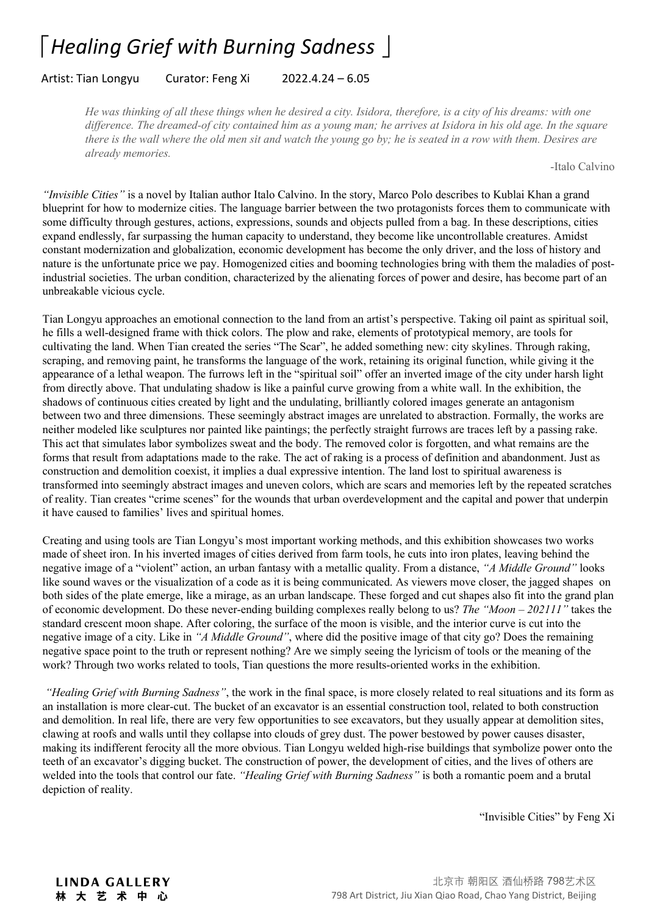## 「*Healing Grief with Burning Sadness* 」

## Artist: Tian Longyu Curator: Feng Xi 2022.4.24 – 6.05

He was thinking of all these things when he desired a city. Isidora, therefore, is a city of his dreams: with one difference. The dreamed-of city contained him as a young man; he arrives at Isidora in his old age. In the square there is the wall where the old men sit and watch the young go by; he is seated in a row with them. Desires are *already memories.*

-Italo Calvino

*"Invisible Cities"* is a novel by Italian author Italo Calvino. In the story, Marco Polo describes to Kublai Khan a grand blueprint for how to modernize cities. The language barrier between the two protagonists forces them to communicate with some difficulty through gestures, actions, expressions, sounds and objects pulled from a bag. In these descriptions, cities expand endlessly, far surpassing the human capacity to understand, they become like uncontrollable creatures. Amidst constant modernization and globalization, economic development has become the only driver, and the loss ofhistory and nature is the unfortunate price we pay. Homogenized cities and booming technologies bring with them the maladies of postindustrial societies. The urban condition, characterized by the alienating forces of power and desire, has become part of an unbreakable vicious cycle.

Tian Longyu approaches an emotional connection to the land from an artist's perspective. Taking oil paint as spiritual soil, he fills a well-designed frame with thick colors. The plow and rake, elements of prototypical memory, are tools for cultivating the land. When Tian created the series "The Scar", he added something new: city skylines. Through raking, scraping, and removing paint, he transforms the language of the work, retaining its original function, while giving it the appearance of a lethal weapon. The furrows left in the "spiritual soil" offer an inverted image of the city under harsh light from directly above. That undulating shadow is like a painful curve growing from a white wall. In the exhibition, the shadows of continuous cities created by light and the undulating, brilliantly colored images generate an antagonism between two and three dimensions. These seemingly abstract images are unrelated to abstraction. Formally, the works are neither modeled like sculptures nor painted like paintings; the perfectly straight furrows are traces left by a passing rake. This act that simulates labor symbolizes sweat and the body. The removed color is forgotten, and what remains are the forms that result from adaptations made to the rake. The act of raking is a process of definition and abandonment. Just as construction and demolition coexist, it implies a dual expressive intention. The land lost to spiritual awareness is transformed into seemingly abstract images and uneven colors, which are scars and memories left by the repeated scratches of reality. Tian creates "crime scenes" for the wounds that urban overdevelopment and the capital and power that underpin it have caused to families' lives and spiritual homes.

Creating and using tools are Tian Longyu's most important working methods, and this exhibition showcases two works made of sheet iron. In his inverted images of cities derived from farm tools, he cuts into iron plates, leaving behind the negative image of a "violent" action, an urban fantasy with a metallic quality. From a distance, *"A Middle Ground"* looks like sound waves or the visualization of a code as it is being communicated. As viewers move closer, the jagged shapes on both sides of the plate emerge, like a mirage, as an urban landscape. These forged and cut shapes also fit into the grand plan of economic development. Do these never-ending building complexes really belong to us? *The "Moon – 202111"* takes the standard crescent moon shape. After coloring, the surface of the moon is visible, and the interior curve is cut into the negative image of a city. Like in *"A Middle Ground"*, where did the positive image of that city go? Does the remaining negative space point to the truth or represent nothing? Are we simply seeing the lyricism of tools orthe meaning of the work? Through two works related to tools, Tian questions the more results-oriented works in the exhibition.

*"Healing Grief with Burning Sadness"*, the work in the final space, is more closely related to real situations and its form as an installation is more clear-cut. The bucket of an excavator is an essential construction tool, related to both construction and demolition. In real life, there are very few opportunities to see excavators, but they usually appear at demolition sites, clawing at roofs and walls until they collapse into clouds of grey dust. The power bestowed by power causes disaster, making its indifferent ferocity all the more obvious.Tian Longyu welded high-rise buildings that symbolize power onto the teeth of an excavator's digging bucket. The construction of power, the development of cities, and the lives of others are welded into the tools that control our fate. *"Healing Grief with Burning Sadness"* is both a romantic poem and a brutal depiction of reality.

"Invisible Cities" by Feng Xi